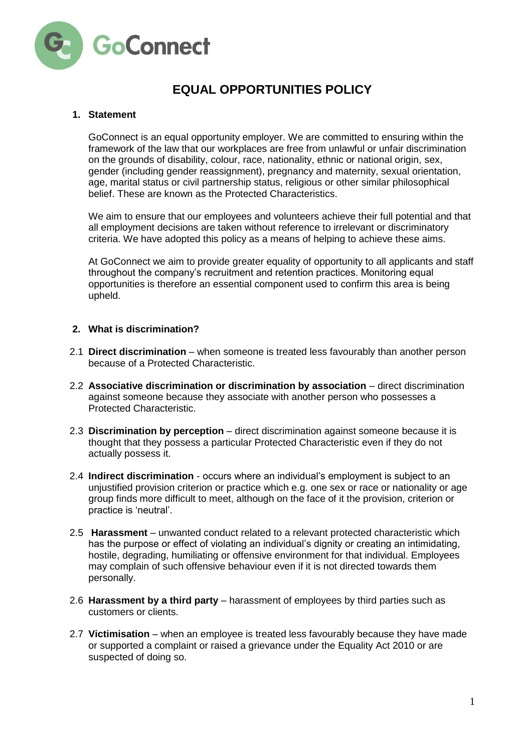

# **EQUAL OPPORTUNITIES POLICY**

## **1. Statement**

GoConnect is an equal opportunity employer. We are committed to ensuring within the framework of the law that our workplaces are free from unlawful or unfair discrimination on the grounds of disability, colour, race, nationality, ethnic or national origin, sex, gender (including gender reassignment), pregnancy and maternity, sexual orientation, age, marital status or civil partnership status, religious or other similar philosophical belief. These are known as the Protected Characteristics.

We aim to ensure that our employees and volunteers achieve their full potential and that all employment decisions are taken without reference to irrelevant or discriminatory criteria. We have adopted this policy as a means of helping to achieve these aims.

At GoConnect we aim to provide greater equality of opportunity to all applicants and staff throughout the company's recruitment and retention practices. Monitoring equal opportunities is therefore an essential component used to confirm this area is being upheld.

#### **2. What is discrimination?**

- 2.1 **Direct discrimination**  when someone is treated less favourably than another person because of a Protected Characteristic.
- 2.2 **Associative discrimination or discrimination by association**  direct discrimination against someone because they associate with another person who possesses a Protected Characteristic.
- 2.3 **Discrimination by perception**  direct discrimination against someone because it is thought that they possess a particular Protected Characteristic even if they do not actually possess it.
- 2.4 **Indirect discrimination**  occurs where an individual's employment is subject to an unjustified provision criterion or practice which e.g. one sex or race or nationality or age group finds more difficult to meet, although on the face of it the provision, criterion or practice is 'neutral'.
- 2.5 **Harassment**  unwanted conduct related to a relevant protected characteristic which has the purpose or effect of violating an individual's dignity or creating an intimidating. hostile, degrading, humiliating or offensive environment for that individual. Employees may complain of such offensive behaviour even if it is not directed towards them personally.
- 2.6 **Harassment by a third party**  harassment of employees by third parties such as customers or clients.
- 2.7 **Victimisation**  when an employee is treated less favourably because they have made or supported a complaint or raised a grievance under the Equality Act 2010 or are suspected of doing so.